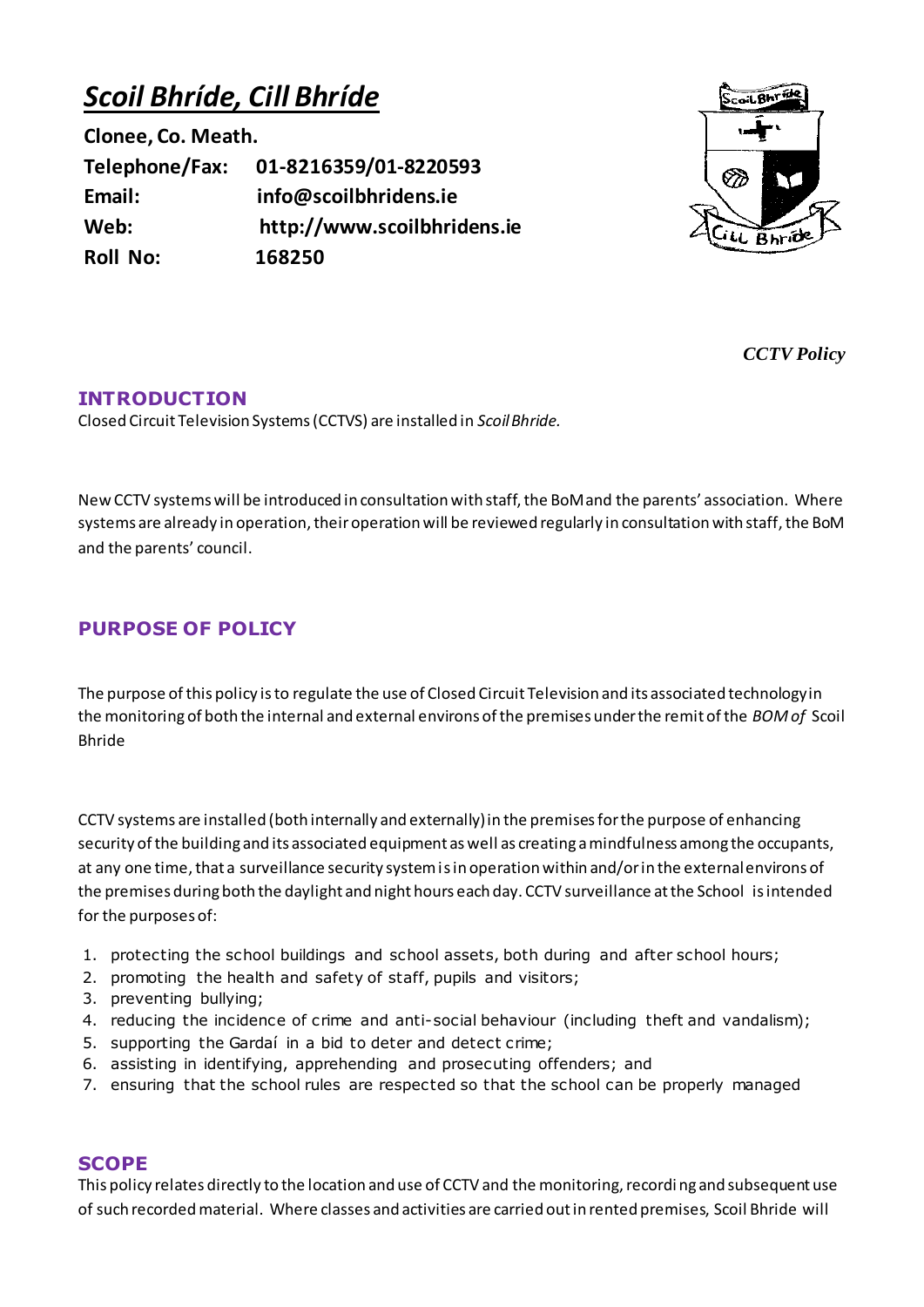# *Scoil Bhríde, Cill Bhríde*

**Clonee, Co. Meath. Telephone/Fax: 01-8216359/01-8220593 Email: info@scoilbhridens.ie Web: http://www.scoilbhridens.ie Roll No: 168250**



*CCTV Policy*

## **INTRODUCTION**

Closed Circuit Television Systems (CCTVS) are installed in *Scoil Bhride.* 

New CCTV systems will be introduced in consultation with staff, the BoM and the parents' association. Where systems are already in operation, their operation will be reviewed regularly in consultation with staff, the BoM and the parents' council.

## **PURPOSE OF POLICY**

The purpose of this policy is to regulate the use of Closed Circuit Television and its associated technology in the monitoring of both the internal and external environs of the premises under the remit of the *BOM of* Scoil Bhride

CCTV systems are installed (both internally and externally) in the premises for the purpose of enhancing security of the building and its associated equipment as well as creating a mindfulness among the occupants, at any one time, that a surveillance security system is in operation within and/or in the external environs of the premises during both the daylight and night hours each day. CCTV surveillance at the School is intended for the purposes of:

- 1. protecting the school buildings and school assets, both during and after school hours;
- 2. promoting the health and safety of staff, pupils and visitors;
- 3. preventing bullying;
- 4. reducing the incidence of crime and anti-social behaviour (including theft and vandalism);
- 5. supporting the Gardaí in a bid to deter and detect crime;
- 6. assisting in identifying, apprehending and prosecuting offenders; and
- 7. ensuring that the school rules are respected so that the school can be properly managed

## **SCOPE**

This policy relates directly to the location and use of CCTV and the monitoring, recordi ng and subsequent use of such recorded material. Where classes and activities are carried out in rented premises, Scoil Bhride will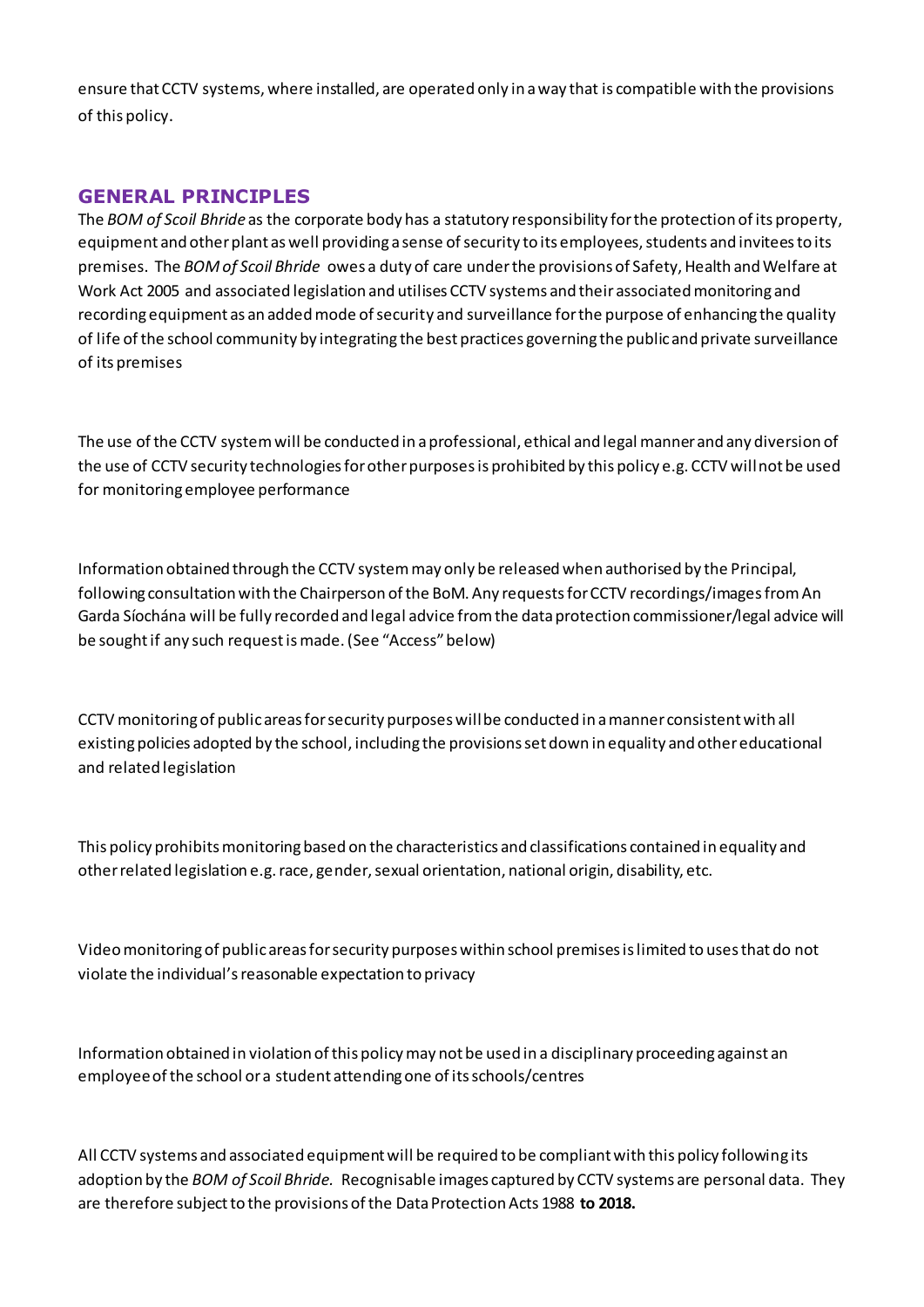ensure that CCTV systems, where installed, are operated only in a way that is compatible with the provisions of this policy.

## **GENERAL PRINCIPLES**

The *BOM of Scoil Bhride* as the corporate body has a statutory responsibility for the protection of its property, equipment and other plant as well providing a sense of security to its employees, students and invitees to its premises. The *BOM of Scoil Bhride* owes a duty of care under the provisions of Safety, Health and Welfare at Work Act 2005 and associated legislation and utilises CCTV systems and their associated monitoring and recording equipment as an added mode of security and surveillance for the purpose of enhancing the quality of life of the school community by integrating the best practices governing the public and private surveillance of its premises

The use of the CCTV system will be conducted in a professional, ethical and legal manner and any diversion of the use of CCTV security technologies for other purposes is prohibited by this policy e.g. CCTV will not be used for monitoring employee performance

Information obtained through the CCTV system may only be released when authorised by the Principal, following consultation with the Chairperson of the BoM. Any requests for CCTV recordings/images from An Garda Síochána will be fully recorded and legal advice from the data protection commissioner/legal advice will be sought if any such request is made. (See "Access" below)

CCTV monitoring of public areas for security purposes will be conducted in a manner consistent with all existing policies adopted by the school, including the provisions set down in equality and other educational and related legislation

This policy prohibits monitoring based on the characteristics and classifications contained in equality and other related legislation e.g. race, gender, sexual orientation, national origin, disability, etc.

Video monitoring of public areas for security purposes within school premises is limited to uses that do not violate the individual's reasonable expectation to privacy

Information obtained in violation of this policy may not be used in a disciplinary proceeding against an employee of the school or a student attending one of its schools/centres

All CCTV systems and associated equipment will be required to be compliant with this policy following its adoption by the *BOM of Scoil Bhride.* Recognisable images captured by CCTV systems ar[e personal data.](http://www.dataprotection.ie/viewdoc.asp?m=m&fn=/documents/guidance/310604.htm) They are therefore subject to the provisions of th[e Data Protection Acts](http://www.dataprotection.ie/viewdoc.asp?DocID=796&ad=1) 1988 **to 2018.**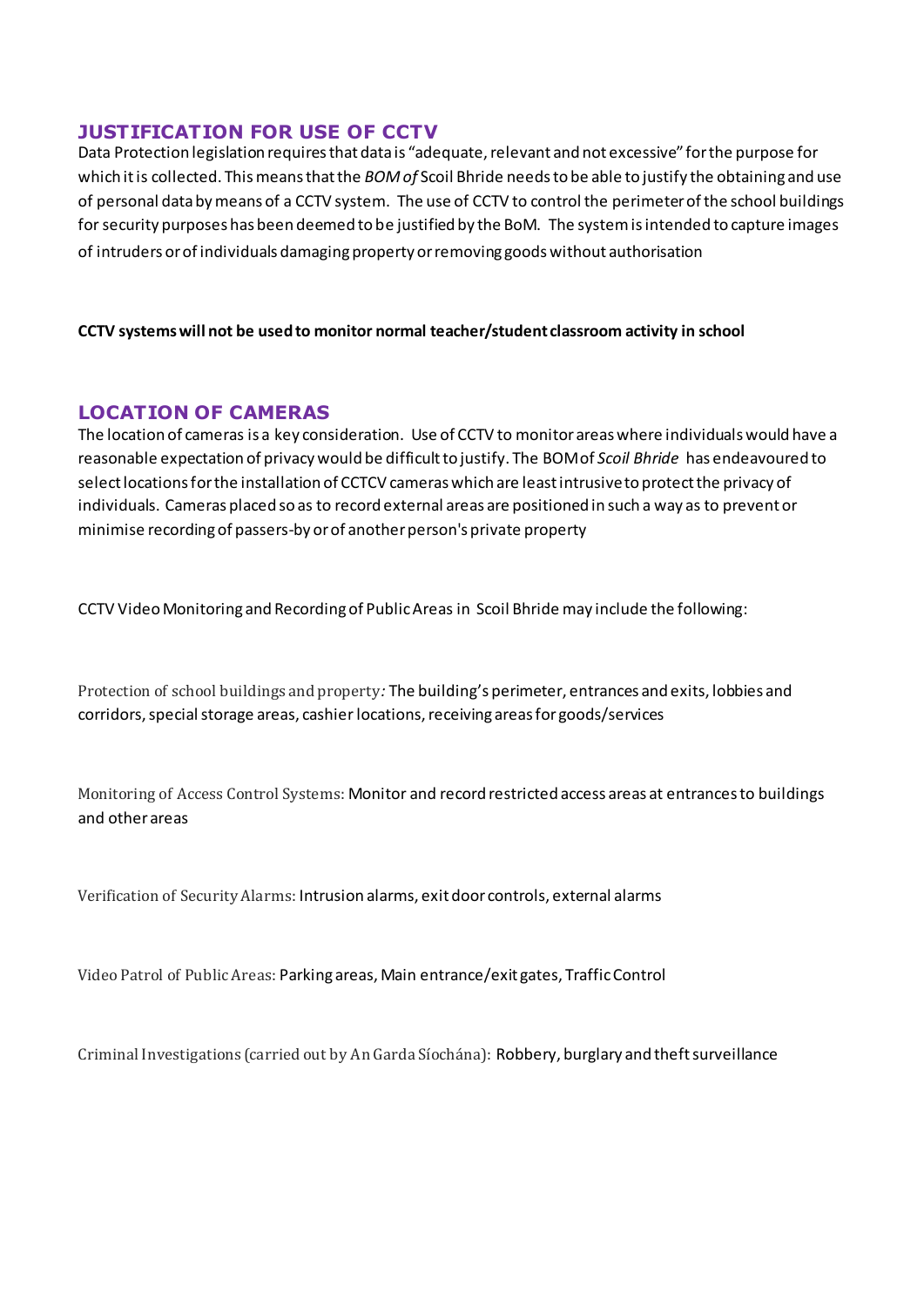## **JUSTIFICATION FOR USE OF CCTV**

Data Protection legislation requires that data is "adequate, relevant and not excessive" for the purpose for which it is collected. This means that the *BOM of* Scoil Bhride needs to be able to justify the obtaining and use of personal data by means of a CCTV system. The use of CCTV to control the perimeter of the school buildings for security purposes has been deemed to be justified by the BoM. The system is intended to capture images of intruders or of individuals damaging property or removing goods without authorisation

#### **CCTV systems will not be used to monitor normal teacher/student classroom activity in school**

## **LOCATION OF CAMERAS**

The location of cameras is a key consideration. Use of CCTV to monitor areas where individuals would have a reasonable expectation of privacy would be difficult to justify. The BOM of *Scoil Bhride* has endeavoured to select locations for the installation of CCTCV cameras which are least intrusive to protect the privacy of individuals. Cameras placed so as to record external areas are positioned in such a way as to prevent or minimise recording of passers-by or of another person's private property

CCTV Video Monitoring and Recording of Public Areas in Scoil Bhride may include the following:

Protection of school buildings and property*:* The building's perimeter, entrances and exits, lobbies and corridors, special storage areas, cashierlocations, receiving areas for goods/services

Monitoring of Access Control Systems: Monitor and record restricted access areas at entrances to buildings and other areas

Verification of Security Alarms: Intrusion alarms, exit door controls, external alarms

Video Patrol of Public Areas: Parking areas, Main entrance/exit gates, Traffic Control

Criminal Investigations (carried out by An Garda Síochána): Robbery, burglary and theft surveillance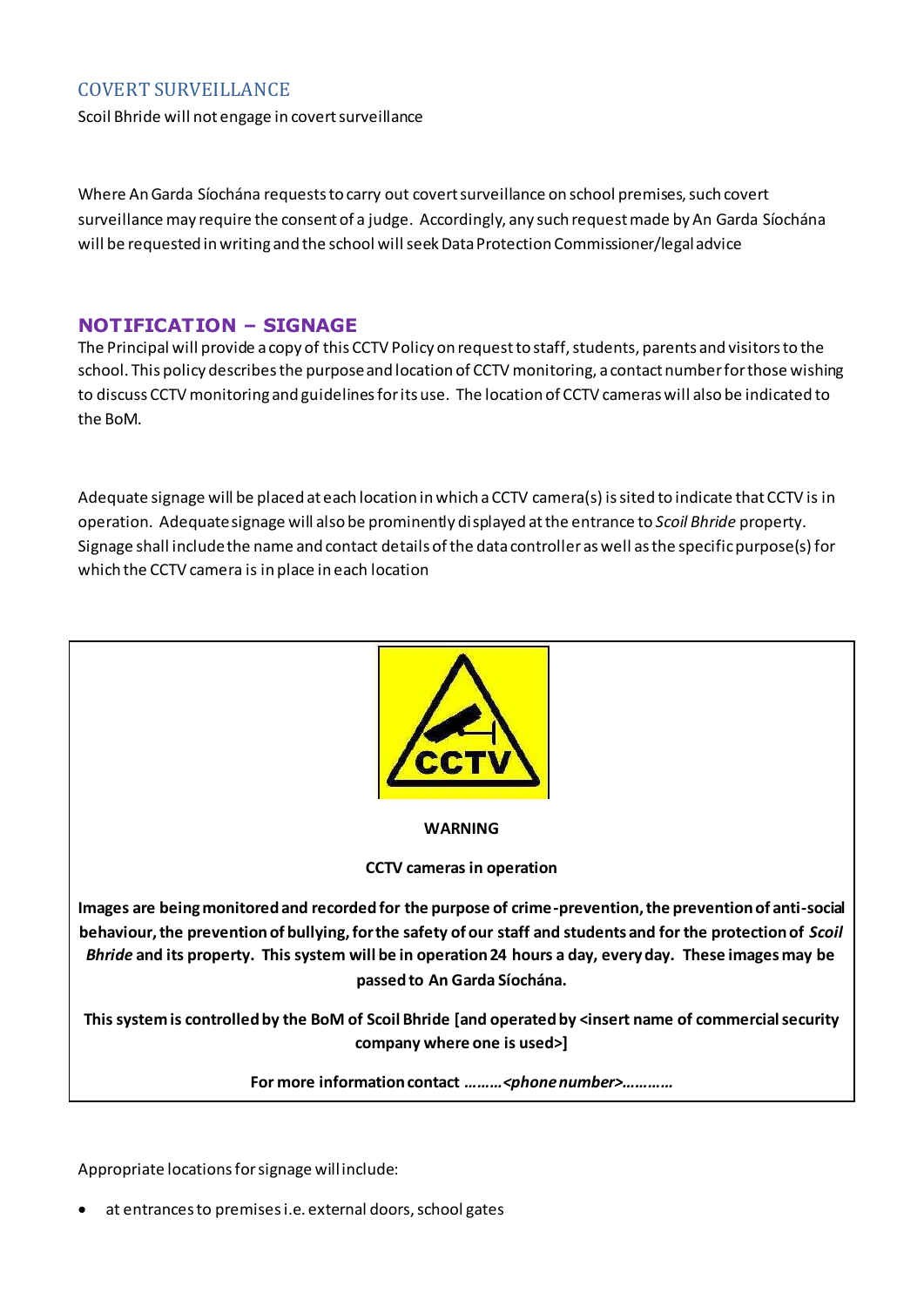## COVERT SURVEILLANCE

Scoil Bhride will not engage in covert surveillance

Where An Garda Síochána requests to carry out covert surveillance on school premises, such covert surveillance may require the consent of a judge. Accordingly, any such request made by An Garda Síochána will be requested in writing and the school will seek Data Protection Commissioner/legal advice

#### **NOTIFICATION – SIGNAGE**

The Principal will provide a copy of this CCTV Policy on request to staff, students, parents and visitors to the school. This policy describes the purpose and location of CCTV monitoring, a contact number for those wishing to discuss CCTV monitoring and guidelines for its use. The location of CCTV cameras will also be indicated to the BoM.

Adequate signage will be placed at each location in which a CCTV camera(s) is sited to indicate that CCTV is in operation. Adequate signage will also be prominently displayed at the entrance to *Scoil Bhride* property. Signage shall include the name and contact details of the data controller as well as the specific purpose(s) for which the CCTV camera is in place in each location



**WARNING**

**CCTV cameras in operation**

**Images are being monitored and recorded for the purpose of crime-prevention, the prevention of anti-social behaviour, the prevention of bullying, for the safety of our staff and students and for the protection of** *Scoil Bhride* **and its property. This system will be in operation 24 hours a day, every day. These images may be passed to An Garda Síochána.** 

**This system is controlled by the BoM of Scoil Bhride [and operated by <insert name of commercial security company where one is used>]** 

**For more information contact** *………<phone number>…………*

Appropriate locations for signage will include:

• at entrances to premises i.e. external doors, school gates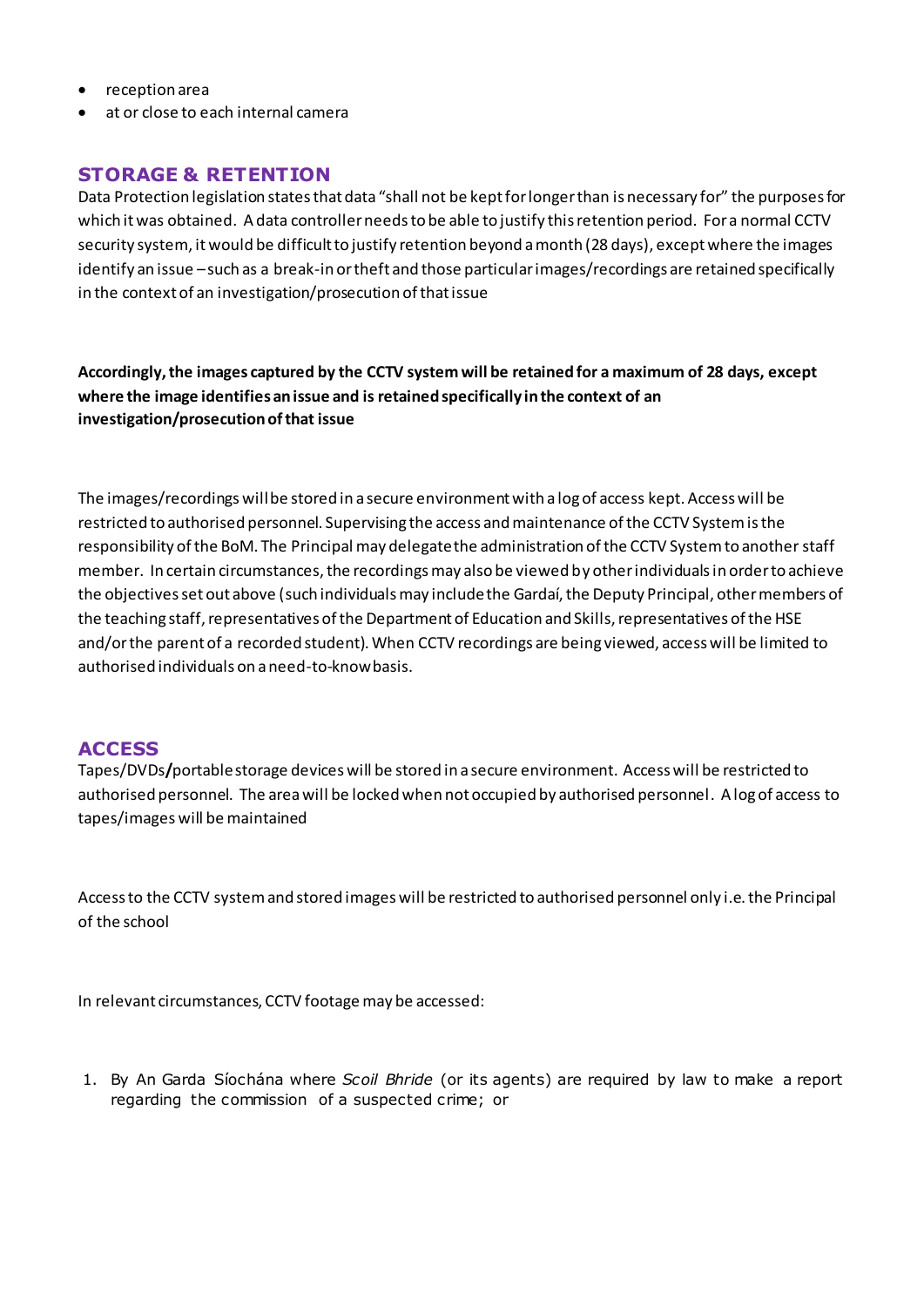- reception area
- at or close to each internal camera

## **STORAGE & RETENTION**

Data Protection legislation states that data "shall not be kept for longer than is necessary for" the purposes for which it was obtained. A data controller needs to be able to justify this retention period. For a normal CCTV security system, it would be difficult to justify retention beyond a month (28 days), except where the images identify an issue –such as a break-in or theft and those particular images/recordings are retained specifically in the context of an investigation/prosecution of that issue

**Accordingly, the images captured by the CCTV system will be retained for a maximum of 28 days, except where the image identifies an issue and is retained specifically in the context of an investigation/prosecution of that issue**

The images/recordings will be stored in a secure environment with a log of access kept. Access will be restricted to authorised personnel. Supervising the access and maintenance of the CCTV System is the responsibility of the BoM. The Principal may delegate the administration of the CCTV System to another staff member. In certain circumstances, the recordings may also be viewed by other individuals in order to achieve the objectives set out above (such individuals may include the Gardaí, the Deputy Principal, other members of the teaching staff, representatives of the Department of Education and Skills, representatives of the HSE and/or the parent of a recorded student). When CCTV recordings are being viewed, access will be limited to authorised individuals on a need-to-know basis.

## **ACCESS**

Tapes/DVDs**/**portable storage devices will be stored in a secure environment. Access will be restricted to authorised personnel. The area will be locked when not occupied by authorised personnel. A log of access to tapes/images will be maintained

Access to the CCTV system and stored images will be restricted to authorised personnel only i.e. the Principal of the school

In relevant circumstances, CCTV footage may be accessed:

1. By An Garda Síochána where *Scoil Bhride* (or its agents) are required by law to make a report regarding the commission of a suspected crime; or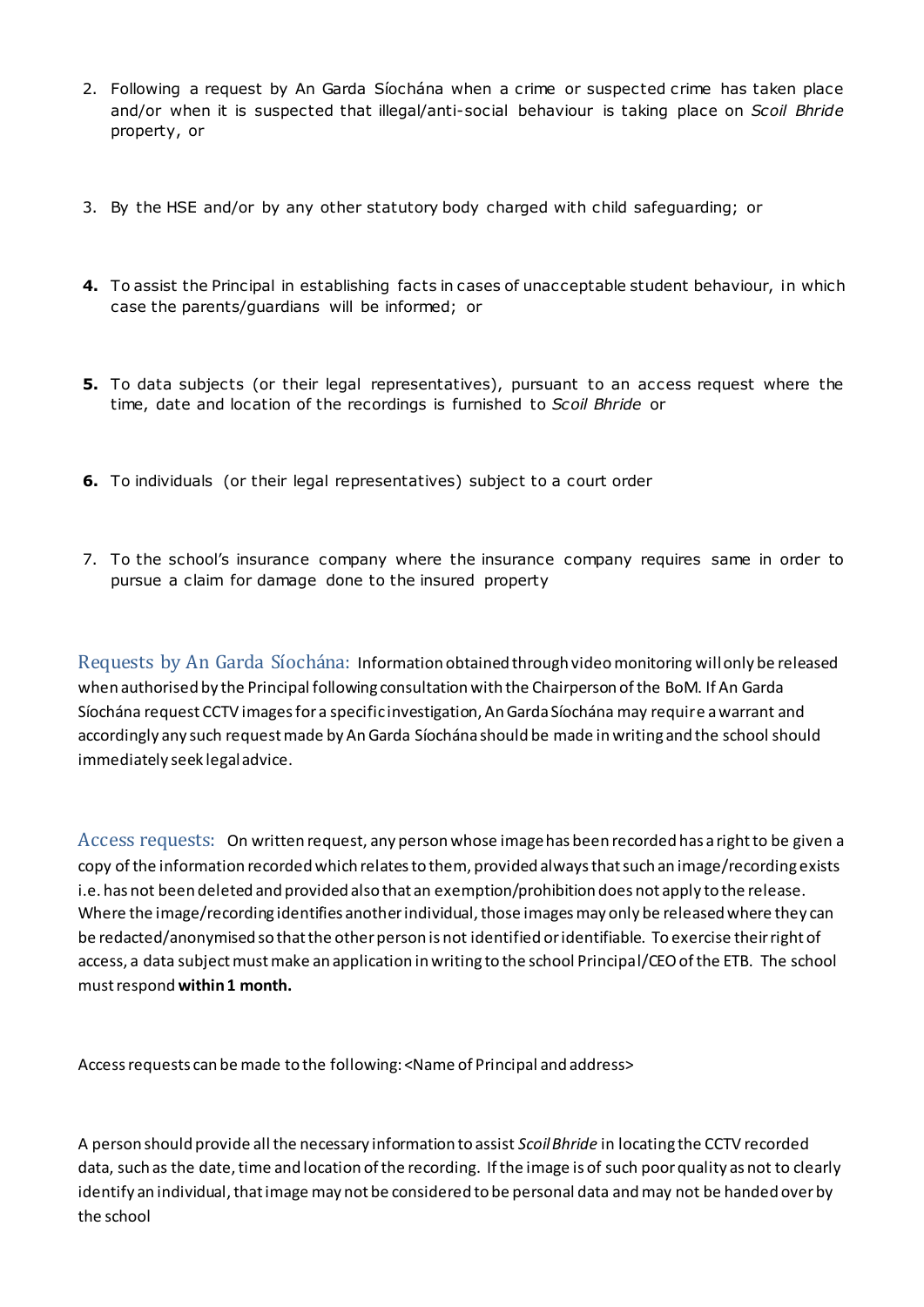- 2. Following a request by An Garda Síochána when a crime or suspected crime has taken place and/or when it is suspected that illegal/anti-social behaviour is taking place on *Scoil Bhride*  property, or
- 3. By the HSE and/or by any other statutory body charged with child safeguarding; or
- **4.** To assist the Principal in establishing facts in cases of unacceptable student behaviour, in which case the parents/guardians will be informed; or
- **5.** To data subjects (or their legal representatives), pursuant to an access request where the time, date and location of the recordings is furnished to *Scoil Bhride* or
- **6.** To individuals (or their legal representatives) subject to a court order
- 7. To the school's insurance company where the insurance company requires same in order to pursue a claim for damage done to the insured property

Requests by An Garda Síochána: Information obtained through video monitoring willonly be released when authorised by the Principal following consultation with the Chairperson of the BoM. If An Garda Síochána request CCTV images for a specific investigation, An Garda Síochána may require a warrant and accordingly any such request made by An Garda Síochána should be made in writing and the school should immediately seek legal advice.

Access requests:On written request, any person whose image has been recorded has a right to be given a copy of the information recorded which relates to them, provided always that such an image/recording exists i.e. has not been deleted and provided also that an exemption/prohibition does not apply to the release. Where the image/recording identifies another individual, those images may only be released where they can be redacted/anonymised so that the other person is not identified or identifiable. To exercise their right of access, a data subject must make an application in writing to the school Principal/CEO of the ETB. The school must respond **within 1 month.** 

Access requests can be made to the following: <Name of Principal and address>

A person should provide all the necessary information to assist *Scoil Bhride* in locating the CCTV recorded data, such as the date, time and location of the recording. If the image is of such poor quality as not to clearly identify an individual, that image may not be considered to be personal data and may not be handed over by the school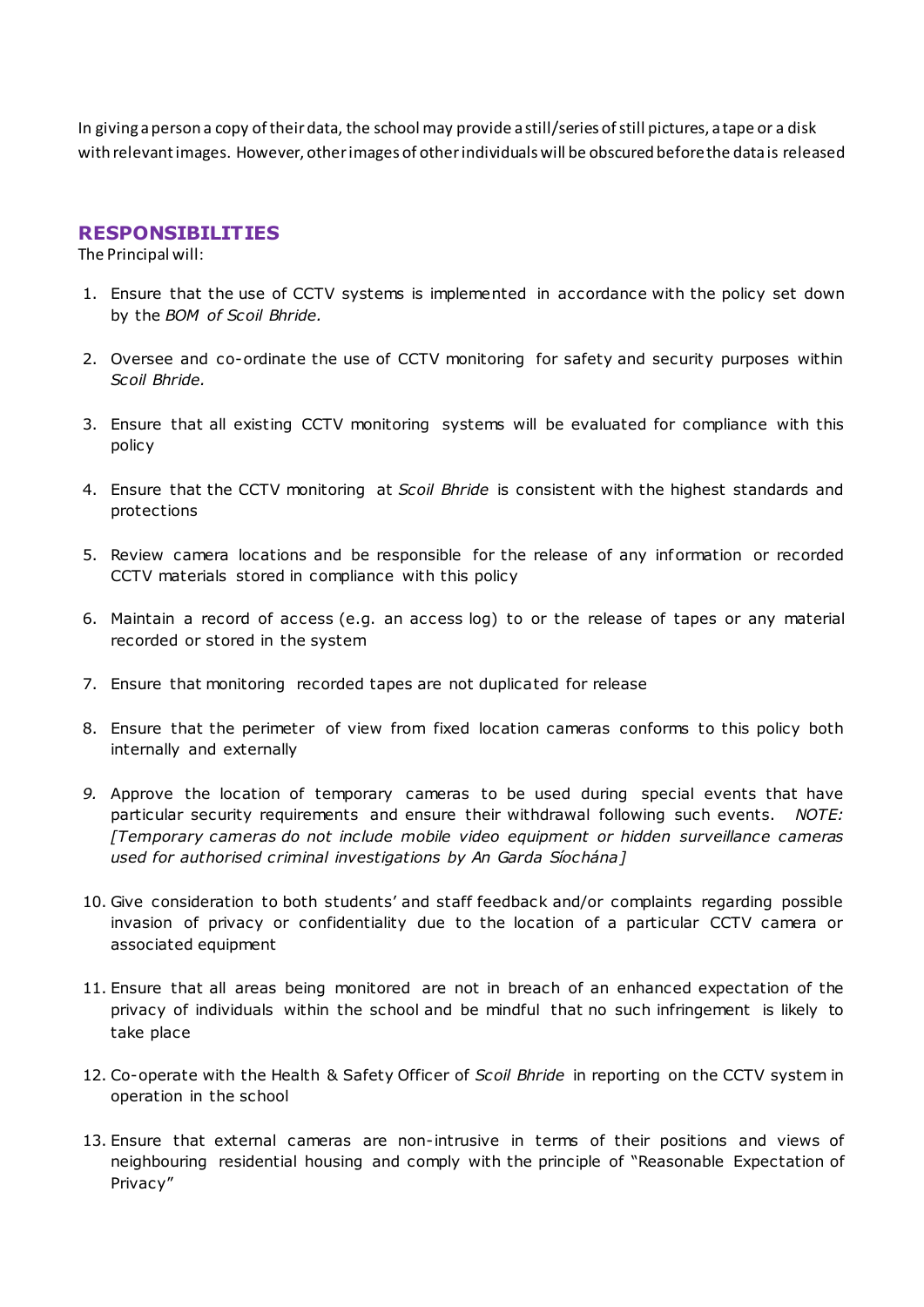In giving a person a copy of their data, the school may provide a still/series of still pictures, a tape or a disk with relevant images. However, other images of other individuals will be obscured before the data is released

#### **RESPONSIBILITIES**

The Principal will:

- 1. Ensure that the use of CCTV systems is implemented in accordance with the policy set down by the *BOM of Scoil Bhride.*
- 2. Oversee and co-ordinate the use of CCTV monitoring for safety and security purposes within *Scoil Bhride.*
- 3. Ensure that all existing CCTV monitoring systems will be evaluated for compliance with this policy
- 4. Ensure that the CCTV monitoring at *Scoil Bhride* is consistent with the highest standards and protections
- 5. Review camera locations and be responsible for the release of any information or recorded CCTV materials stored in compliance with this policy
- 6. Maintain a record of access (e.g. an access log) to or the release of tapes or any material recorded or stored in the system
- 7. Ensure that monitoring recorded tapes are not duplicated for release
- 8. Ensure that the perimeter of view from fixed location cameras conforms to this policy both internally and externally
- *9.* Approve the location of temporary cameras to be used during special events that have particular security requirements and ensure their withdrawal following such events. *NOTE: [Temporary cameras do not include mobile video equipment or hidden surveillance cameras used for authorised criminal investigations by An Garda Síochána]*
- 10. Give consideration to both students' and staff feedback and/or complaints regarding possible invasion of privacy or confidentiality due to the location of a particular CCTV camera or associated equipment
- 11. Ensure that all areas being monitored are not in breach of an enhanced expectation of the privacy of individuals within the school and be mindful that no such infringement is likely to take place
- 12. Co-operate with the Health & Safety Officer of *Scoil Bhride* in reporting on the CCTV system in operation in the school
- 13. Ensure that external cameras are non-intrusive in terms of their positions and views of neighbouring residential housing and comply with the principle of "Reasonable Expectation of Privacy"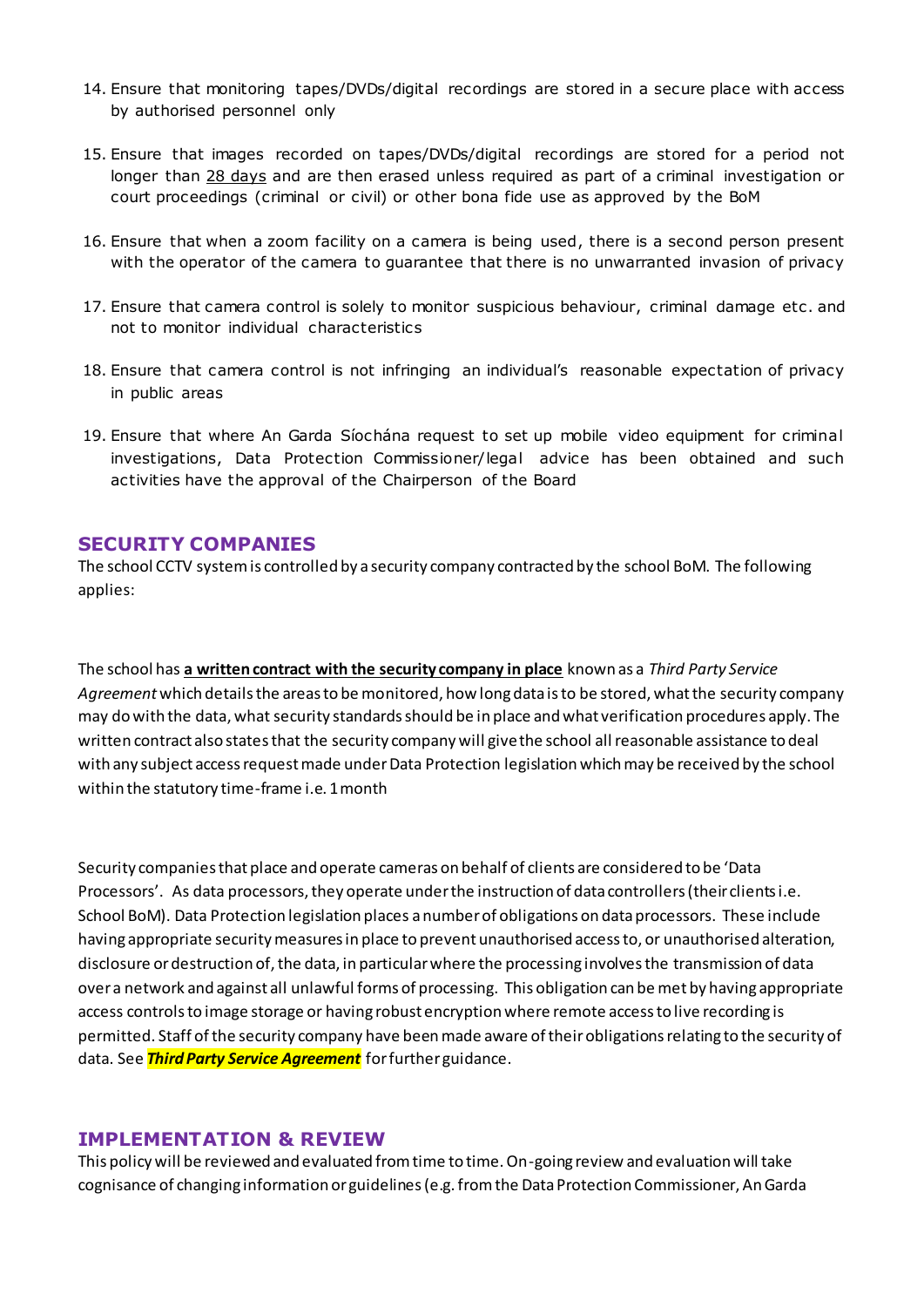- 14. Ensure that monitoring tapes/DVDs/digital recordings are stored in a secure place with access by authorised personnel only
- 15. Ensure that images recorded on tapes/DVDs/digital recordings are stored for a period not longer than 28 days and are then erased unless required as part of a criminal investigation or court proceedings (criminal or civil) or other bona fide use as approved by the BoM
- 16. Ensure that when a zoom facility on a camera is being used, there is a second person present with the operator of the camera to guarantee that there is no unwarranted invasion of privacy
- 17. Ensure that camera control is solely to monitor suspicious behaviour, criminal damage etc . and not to monitor individual characteristics
- 18. Ensure that camera control is not infringing an individual's reasonable expectation of privacy in public areas
- 19. Ensure that where An Garda Síochána request to set up mobile video equipment for criminal investigations, Data Protection Commissioner/legal advice has been obtained and such activities have the approval of the Chairperson of the Board

#### **SECURITY COMPANIES**

The school CCTV system is controlled by a security company contracted by the school BoM. The following applies:

The school has **a written contract with the security company in place** known as a *Third Party Service Agreement* which details the areas to be monitored, how long data is to be stored, what the security company may do with the data, what security standards should be in place and what verification procedures apply. The written contract also statesthat the security company will give the school all reasonable assistance to deal with any subject access request made under Data Protection legislation which may be received by the school within the statutory time-frame i.e. 1 month

Security companies that place and operate cameras on behalf of clients are considered to be 'Data Processors'. As data processors, they operate under the instruction of data controllers (their clients i.e. School BoM). Data Protection legislation places a number of obligations on data processors. These include having appropriate security measures in place to prevent unauthorised access to, or unauthorised alteration, disclosure or destruction of, the data, in particular where the processing involves the transmission of data over a network and against all unlawful forms of processing. This obligation can be met by having appropriate access controls to image storage or having robust encryption where remote access to live recording is permitted. Staff of the security company have been made aware of their obligations relating to the security of data. See *Third Party Service Agreement* for further guidance.

#### **IMPLEMENTATION & REVIEW**

This policy will be reviewed and evaluated from time to time. On-going review and evaluation will take cognisance of changing information or guidelines (e.g. from the Data Protection Commissioner, An Garda